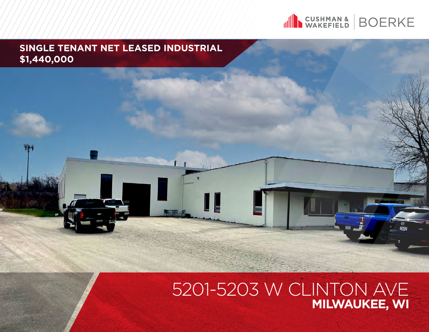

### **SINGLE TENANT NET LEASED INDUSTRIAL \$1,440,000**

### 5201-5203 W CLINTON AVE **MILWAUKEE, WI**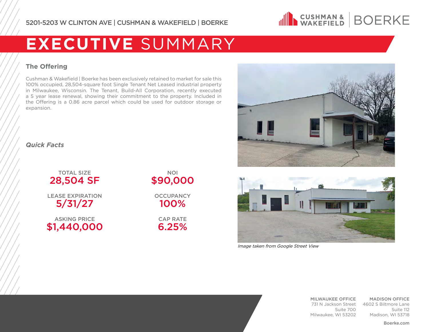

### **EXECUTIVE** SUMMARY

#### **The Offering**

Cushman & Wakefield | Boerke has been exclusively retained to market for sale this 100% occupied, 28,504-square foot Single Tenant Net Leased industrial property in Milwaukee, Wisconsin. The Tenant, Build-All Corporation, recently executed a 5 year lease renewal, showing their commitment to the property. Included in the Offering is a 0.86 acre parcel which could be used for outdoor storage or expansion.



#### *Quick Facts*

TOTAL SIZE 28,504 SF

LEASE EXPIRATION 5/31/27

ASKING PRICE \$1,440,000

#### NOI \$90,000

**OCCUPANCY** 100%

CAP RATE 6.25%



Image taken from Google Street View

MILWAUKEE OFFICE 731 N Jackson Street 4602 S Biltmore Lane Suite 700 Milwaukee, WI 53202

MADISON OFFICE Suite 112 Madison, WI 53718

Boerke.com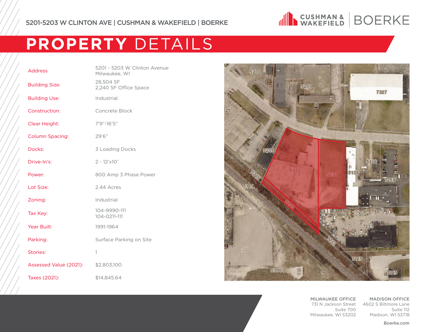

# **PROPERTY** DETAILS

| <b>Address</b>         | 5201 - 5203 W Clinton Avenue<br>Milwaukee, WI |  |
|------------------------|-----------------------------------------------|--|
| <b>Building Size:</b>  | 28,504 SF<br>2,240 SF Office Space            |  |
| <b>Building Use:</b>   | Industrial                                    |  |
| Construction:          | Concrete Block                                |  |
| Clear Height:          | 7'9"-16'5"                                    |  |
| <b>Column Spacing:</b> | 29'6"                                         |  |
| Docks:                 | 3 Loading Docks                               |  |
| Drive-In's:            | $2 - 12' \times 10'$                          |  |
| Power:                 | 800 Amp 3 Phase Power                         |  |
| Lot Size:              | 2.44 Acres                                    |  |
| Zoning:                | Industrial                                    |  |
| Tax Key:               | 104-9990-111<br>104-0211-111                  |  |
| Year Built:            | 1991-1964                                     |  |
| Parking:               | Surface Parking on Site                       |  |
| Stories:               | 1                                             |  |
| Assessed Value (2021): | \$2,803,100                                   |  |
| Taxes (2021):          | \$14,845.64                                   |  |



MILWAUKEE OFFICE 731 N Jackson Street 4602 S Biltmore Lane Suite 700 Milwaukee, WI 53202

MADISON OFFICE Suite 112 Madison, WI 53718

Boerke.com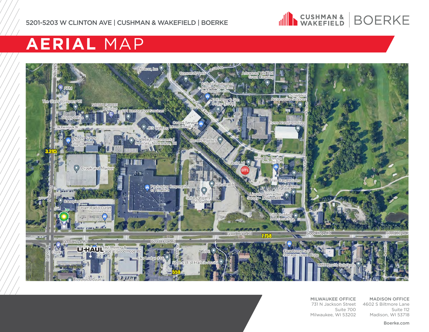

## **AERIAL** MAP



MILWAUKEE OFFICE 731 N Jackson Street 4602 S Biltmore Lane Suite 700 Milwaukee, WI 53202

MADISON OFFICE Suite 112 Madison, WI 53718

Boerke.com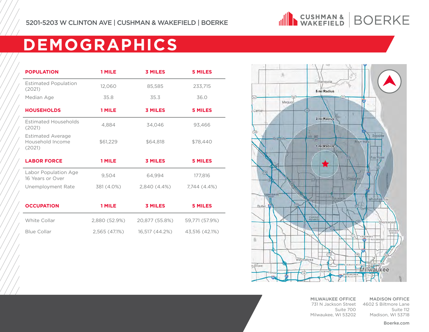

# **DEMOGRAPHICS**

| <b>POPULATION</b>                                      | 1 MILE        | <b>3 MILES</b> | <b>5 MILES</b> |
|--------------------------------------------------------|---------------|----------------|----------------|
| <b>Estimated Population</b><br>(2021)                  | 12,060        | 85,585         | 233,715        |
| Median Age                                             | 35.8          | 35.3           | 36.0           |
| <b>HOUSEHOLDS</b>                                      | 1 MILE        | <b>3 MILES</b> | <b>5 MILES</b> |
| <b>Estimated Households</b><br>(2021)                  | 4.884         | 34.046         | 93,466         |
| <b>Estimated Average</b><br>Household Income<br>(2021) | \$61,229      | \$64,818       | \$78,440       |
|                                                        |               |                |                |
| <b>LABOR FORCE</b>                                     | 1 MILE        | <b>3 MILES</b> | <b>5 MILES</b> |
| Labor Population Age<br>16 Years or Over               | 9,504         | 64,994         | 177,816        |
| Unemployment Rate                                      | 381 (4.0%)    | $2.840(4.4\%)$ | 7.744 (4.4%)   |
|                                                        |               |                |                |
| <b>OCCUPATION</b>                                      | 1 MILE        | <b>3 MILES</b> | <b>5 MILES</b> |
| White Collar                                           | 2,880 (52.9%) | 20,877 (55.8%) | 59,771 (57.9%) |



MILWAUKEE OFFICE 731 N Jackson Street 4602 S Biltmore Lane Suite 700 Milwaukee, WI 53202

MADISON OFFICE Suite 112 Madison, WI 53718